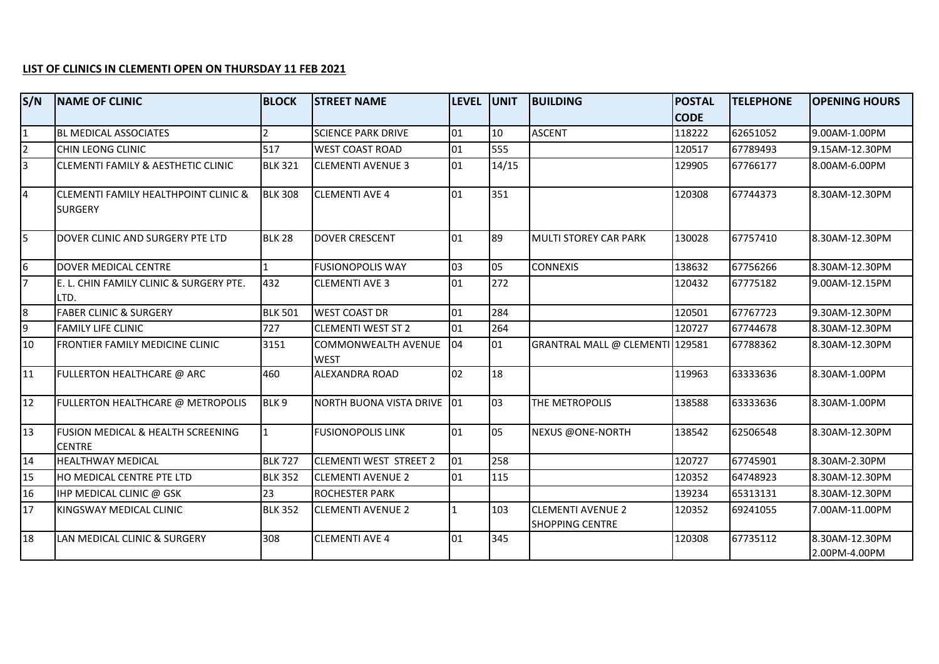## **LIST OF CLINICS IN CLEMENTI OPEN ON THURSDAY 11 FEB 2021**

| S/N             | <b>NAME OF CLINIC</b>                                  | <b>BLOCK</b>     | <b>STREET NAME</b>                 | <b>LEVEL UNIT</b> |       | <b>BUILDING</b>                                    | <b>POSTAL</b> | <b>TELEPHONE</b> | <b>OPENING HOURS</b>            |
|-----------------|--------------------------------------------------------|------------------|------------------------------------|-------------------|-------|----------------------------------------------------|---------------|------------------|---------------------------------|
|                 |                                                        |                  |                                    |                   |       |                                                    | <b>CODE</b>   |                  |                                 |
| $\overline{1}$  | <b>BL MEDICAL ASSOCIATES</b>                           | $\overline{2}$   | <b>SCIENCE PARK DRIVE</b>          | 01                | 10    | <b>ASCENT</b>                                      | 118222        | 62651052         | 9.00AM-1.00PM                   |
| $\overline{2}$  | CHIN LEONG CLINIC                                      | 517              | <b>WEST COAST ROAD</b>             | 01                | 555   |                                                    | 120517        | 67789493         | 9.15AM-12.30PM                  |
| $\overline{3}$  | CLEMENTI FAMILY & AESTHETIC CLINIC                     | <b>BLK 321</b>   | <b>CLEMENTI AVENUE 3</b>           | 01                | 14/15 |                                                    | 129905        | 67766177         | 8.00AM-6.00PM                   |
| $\overline{4}$  | CLEMENTI FAMILY HEALTHPOINT CLINIC &<br><b>SURGERY</b> | <b>BLK 308</b>   | <b>CLEMENTI AVE 4</b>              | 01                | 351   |                                                    | 120308        | 67744373         | 8.30AM-12.30PM                  |
| 5               | DOVER CLINIC AND SURGERY PTE LTD                       | <b>BLK 28</b>    | <b>DOVER CRESCENT</b>              | 01                | 89    | <b>MULTI STOREY CAR PARK</b>                       | 130028        | 67757410         | 8.30AM-12.30PM                  |
| $\overline{6}$  | DOVER MEDICAL CENTRE                                   | $\mathbf{1}$     | <b>FUSIONOPOLIS WAY</b>            | 03                | 05    | <b>CONNEXIS</b>                                    | 138632        | 67756266         | 8.30AM-12.30PM                  |
| $\overline{7}$  | E. L. CHIN FAMILY CLINIC & SURGERY PTE.<br>LTD.        | 432              | <b>CLEMENTI AVE 3</b>              | 01                | 272   |                                                    | 120432        | 67775182         | 9.00AM-12.15PM                  |
| 8               | <b>FABER CLINIC &amp; SURGERY</b>                      | <b>BLK 501</b>   | <b>WEST COAST DR</b>               | 01                | 284   |                                                    | 120501        | 67767723         | 9.30AM-12.30PM                  |
| <u>թ</u>        | <b>FAMILY LIFE CLINIC</b>                              | 727              | <b>CLEMENTI WEST ST 2</b>          | 01                | 264   |                                                    | 120727        | 67744678         | 8.30AM-12.30PM                  |
| 10              | FRONTIER FAMILY MEDICINE CLINIC                        | 3151             | COMMONWEALTH AVENUE<br><b>WEST</b> | 04                | 01    | GRANTRAL MALL @ CLEMENTI 129581                    |               | 67788362         | 8.30AM-12.30PM                  |
| 11              | FULLERTON HEALTHCARE @ ARC                             | 460              | ALEXANDRA ROAD                     | 02                | 18    |                                                    | 119963        | 63333636         | 8.30AM-1.00PM                   |
| 12              | FULLERTON HEALTHCARE @ METROPOLIS                      | BLK <sub>9</sub> | NORTH BUONA VISTA DRIVE 01         |                   | 03    | THE METROPOLIS                                     | 138588        | 63333636         | 8.30AM-1.00PM                   |
| $\overline{13}$ | FUSION MEDICAL & HEALTH SCREENING<br><b>CENTRE</b>     | $\mathbf{1}$     | <b>FUSIONOPOLIS LINK</b>           | 01                | 05    | <b>NEXUS @ONE-NORTH</b>                            | 138542        | 62506548         | 8.30AM-12.30PM                  |
| 14              | <b>HEALTHWAY MEDICAL</b>                               | <b>BLK 727</b>   | <b>CLEMENTI WEST STREET 2</b>      | 01                | 258   |                                                    | 120727        | 67745901         | 8.30AM-2.30PM                   |
| 15              | HO MEDICAL CENTRE PTE LTD                              | <b>BLK 352</b>   | <b>CLEMENTI AVENUE 2</b>           | 01                | 115   |                                                    | 120352        | 64748923         | 8.30AM-12.30PM                  |
| 16              | IHP MEDICAL CLINIC @ GSK                               | 23               | <b>ROCHESTER PARK</b>              |                   |       |                                                    | 139234        | 65313131         | 8.30AM-12.30PM                  |
| 17              | KINGSWAY MEDICAL CLINIC                                | <b>BLK 352</b>   | <b>CLEMENTI AVENUE 2</b>           | $\mathbf{1}$      | 103   | <b>CLEMENTI AVENUE 2</b><br><b>SHOPPING CENTRE</b> | 120352        | 69241055         | 7.00AM-11.00PM                  |
| 18              | LAN MEDICAL CLINIC & SURGERY                           | 308              | <b>CLEMENTI AVE 4</b>              | 01                | 345   |                                                    | 120308        | 67735112         | 8.30AM-12.30PM<br>2.00PM-4.00PM |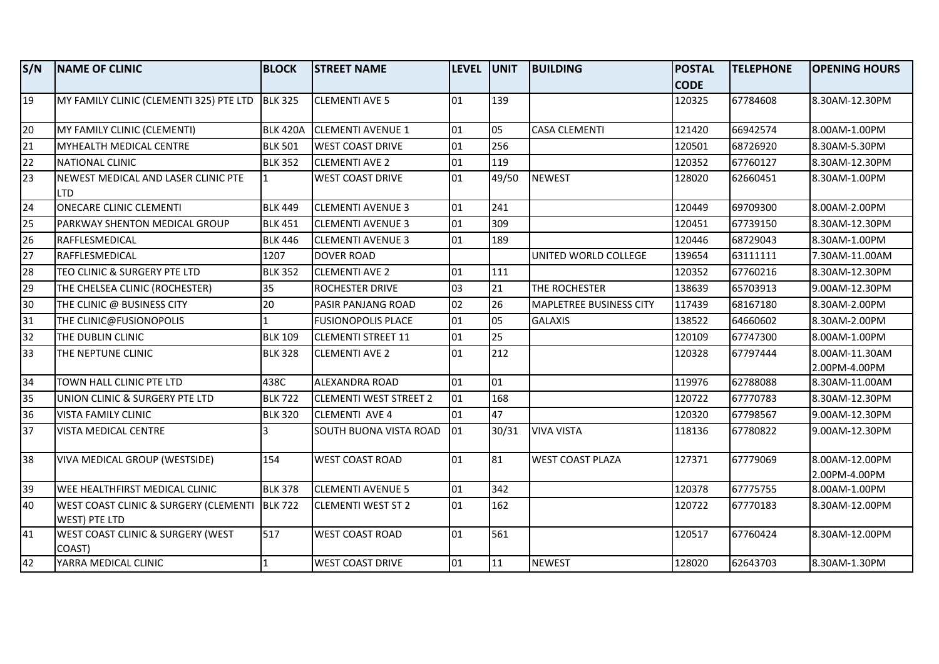| S/N             | <b>NAME OF CLINIC</b>                                                   | <b>BLOCK</b>    | <b>STREET NAME</b>            | LEVEL UNIT |       | <b>BUILDING</b>                | <b>POSTAL</b> | <b>TELEPHONE</b> | <b>OPENING HOURS</b>            |
|-----------------|-------------------------------------------------------------------------|-----------------|-------------------------------|------------|-------|--------------------------------|---------------|------------------|---------------------------------|
|                 |                                                                         |                 |                               |            |       |                                | <b>CODE</b>   |                  |                                 |
| $\overline{19}$ | MY FAMILY CLINIC (CLEMENTI 325) PTE LTD BLK 325                         |                 | <b>CLEMENTI AVE 5</b>         | 01         | 139   |                                | 120325        | 67784608         | 8.30AM-12.30PM                  |
| 20              | MY FAMILY CLINIC (CLEMENTI)                                             | <b>BLK 420A</b> | <b>CLEMENTI AVENUE 1</b>      | 01         | 05    | <b>CASA CLEMENTI</b>           | 121420        | 66942574         | 8.00AM-1.00PM                   |
| $\overline{21}$ | MYHEALTH MEDICAL CENTRE                                                 | <b>BLK 501</b>  | <b>WEST COAST DRIVE</b>       | 01         | 256   |                                | 120501        | 68726920         | 8.30AM-5.30PM                   |
| 22              | NATIONAL CLINIC                                                         | <b>BLK 352</b>  | <b>CLEMENTI AVE 2</b>         | 01         | 119   |                                | 120352        | 67760127         | 8.30AM-12.30PM                  |
| 23              | NEWEST MEDICAL AND LASER CLINIC PTE<br><b>LTD</b>                       | $\overline{1}$  | <b>WEST COAST DRIVE</b>       | 01         | 49/50 | <b>NEWEST</b>                  | 128020        | 62660451         | 8.30AM-1.00PM                   |
| 24              | <b>ONECARE CLINIC CLEMENTI</b>                                          | <b>BLK 449</b>  | <b>CLEMENTI AVENUE 3</b>      | 01         | 241   |                                | 120449        | 69709300         | 8.00AM-2.00PM                   |
| 25              | PARKWAY SHENTON MEDICAL GROUP                                           | <b>BLK 451</b>  | <b>CLEMENTI AVENUE 3</b>      | 01         | 309   |                                | 120451        | 67739150         | 8.30AM-12.30PM                  |
| 26              | <b>RAFFLESMEDICAL</b>                                                   | <b>BLK 446</b>  | <b>CLEMENTI AVENUE 3</b>      | 01         | 189   |                                | 120446        | 68729043         | 8.30AM-1.00PM                   |
| $\overline{27}$ | RAFFLESMEDICAL                                                          | 1207            | <b>DOVER ROAD</b>             |            |       | UNITED WORLD COLLEGE           | 139654        | 63111111         | 7.30AM-11.00AM                  |
| 28              | TEO CLINIC & SURGERY PTE LTD                                            | <b>BLK 352</b>  | <b>CLEMENTI AVE 2</b>         | 01         | 111   |                                | 120352        | 67760216         | 8.30AM-12.30PM                  |
| 29              | THE CHELSEA CLINIC (ROCHESTER)                                          | 35              | ROCHESTER DRIVE               | 03         | 21    | THE ROCHESTER                  | 138639        | 65703913         | 9.00AM-12.30PM                  |
| 30              | THE CLINIC @ BUSINESS CITY                                              | 20              | PASIR PANJANG ROAD            | 02         | 26    | <b>MAPLETREE BUSINESS CITY</b> | 117439        | 68167180         | 8.30AM-2.00PM                   |
| 31              | THE CLINIC@FUSIONOPOLIS                                                 |                 | <b>FUSIONOPOLIS PLACE</b>     | 01         | 05    | <b>GALAXIS</b>                 | 138522        | 64660602         | 8.30AM-2.00PM                   |
| 32              | THE DUBLIN CLINIC                                                       | <b>BLK 109</b>  | <b>CLEMENTI STREET 11</b>     | 01         | 25    |                                | 120109        | 67747300         | 8.00AM-1.00PM                   |
| 33              | THE NEPTUNE CLINIC                                                      | <b>BLK 328</b>  | <b>CLEMENTI AVE 2</b>         | 01         | 212   |                                | 120328        | 67797444         | 8.00AM-11.30AM<br>2.00PM-4.00PM |
| 34              | TOWN HALL CLINIC PTE LTD                                                | 438C            | ALEXANDRA ROAD                | 01         | 01    |                                | 119976        | 62788088         | 8.30AM-11.00AM                  |
| 35              | UNION CLINIC & SURGERY PTE LTD                                          | <b>BLK 722</b>  | <b>CLEMENTI WEST STREET 2</b> | 01         | 168   |                                | 120722        | 67770783         | 8.30AM-12.30PM                  |
| 36              | <b>VISTA FAMILY CLINIC</b>                                              | <b>BLK 320</b>  | <b>CLEMENTI AVE 4</b>         | 01         | 47    |                                | 120320        | 67798567         | 9.00AM-12.30PM                  |
| 37              | VISTA MEDICAL CENTRE                                                    | Ι3              | SOUTH BUONA VISTA ROAD        | 01         | 30/31 | <b>VIVA VISTA</b>              | 118136        | 67780822         | 9.00AM-12.30PM                  |
| 38              | <b>VIVA MEDICAL GROUP (WESTSIDE)</b>                                    | 154             | <b>WEST COAST ROAD</b>        | 01         | 81    | <b>WEST COAST PLAZA</b>        | 127371        | 67779069         | 8.00AM-12.00PM<br>2.00PM-4.00PM |
| 39              | <b>WEE HEALTHFIRST MEDICAL CLINIC</b>                                   | <b>BLK 378</b>  | <b>CLEMENTI AVENUE 5</b>      | 01         | 342   |                                | 120378        | 67775755         | 8.00AM-1.00PM                   |
| $\overline{40}$ | WEST COAST CLINIC & SURGERY (CLEMENTI   BLK 722<br><b>WEST) PTE LTD</b> |                 | <b>CLEMENTI WEST ST 2</b>     | 01         | 162   |                                | 120722        | 67770183         | 8.30AM-12.00PM                  |
| 41              | WEST COAST CLINIC & SURGERY (WEST<br>COAST)                             | 517             | <b>WEST COAST ROAD</b>        | 01         | 561   |                                | 120517        | 67760424         | 8.30AM-12.00PM                  |
| 42              | YARRA MEDICAL CLINIC                                                    | 1               | <b>WEST COAST DRIVE</b>       | 01         | 11    | <b>NEWEST</b>                  | 128020        | 62643703         | 8.30AM-1.30PM                   |